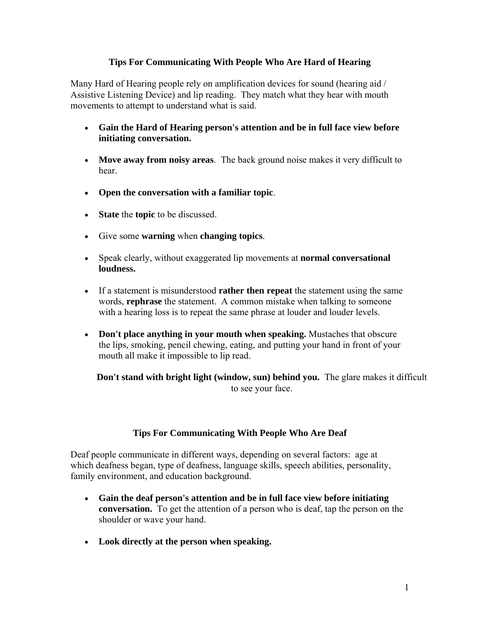## **Tips For Communicating With People Who Are Hard of Hearing**

Many Hard of Hearing people rely on amplification devices for sound (hearing aid / Assistive Listening Device) and lip reading. They match what they hear with mouth movements to attempt to understand what is said.

- **Gain the Hard of Hearing person's attention and be in full face view before initiating conversation.**
- **Move away from noisy areas**. The back ground noise makes it very difficult to hear.
- **Open the conversation with a familiar topic**.
- **State** the **topic** to be discussed.
- Give some **warning** when **changing topics**.
- Speak clearly, without exaggerated lip movements at **normal conversational loudness.**
- If a statement is misunderstood **rather then repeat** the statement using the same words, **rephrase** the statement. A common mistake when talking to someone with a hearing loss is to repeat the same phrase at louder and louder levels.
- **Don't place anything in your mouth when speaking.** Mustaches that obscure the lips, smoking, pencil chewing, eating, and putting your hand in front of your mouth all make it impossible to lip read.

**Don't stand with bright light (window, sun) behind you.** The glare makes it difficult to see your face.

## **Tips For Communicating With People Who Are Deaf**

Deaf people communicate in different ways, depending on several factors: age at which deafness began, type of deafness, language skills, speech abilities, personality, family environment, and education background.

- **Gain the deaf person's attention and be in full face view before initiating conversation.** To get the attention of a person who is deaf, tap the person on the shoulder or wave your hand.
- **[Look direc](http://www.dhh12s.com/)tly at the person when speaking.**